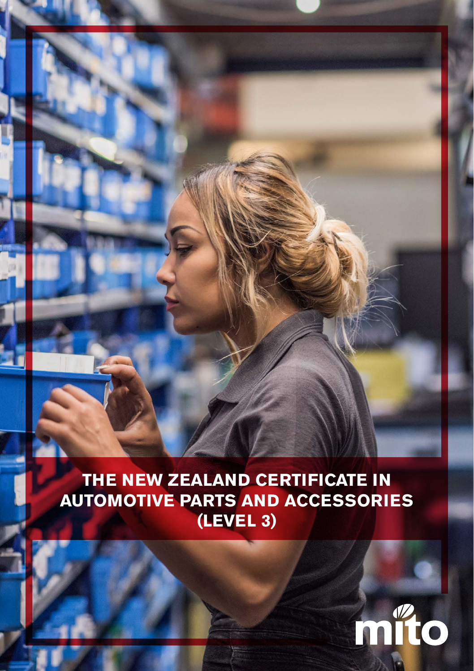**THE NEW ZEALAND CERTIFICATE IN AUTOMOTIVE PARTS AND ACCESSORIES (LEVEL 3)**

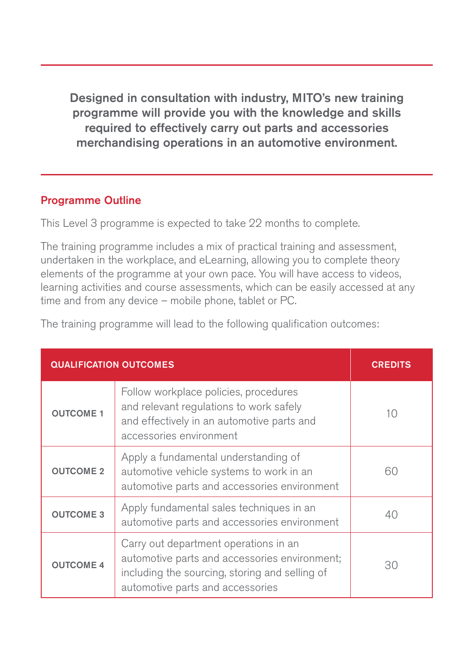Designed in consultation with industry, MITO's new training programme will provide you with the knowledge and skills required to effectively carry out parts and accessories merchandising operations in an automotive environment.

### Programme Outline

This Level 3 programme is expected to take 22 months to complete.

The training programme includes a mix of practical training and assessment, undertaken in the workplace, and eLearning, allowing you to complete theory elements of the programme at your own pace. You will have access to videos, learning activities and course assessments, which can be easily accessed at any time and from any device – mobile phone, tablet or PC.

|  |  | The training programme will lead to the following qualification outcomes: |  |
|--|--|---------------------------------------------------------------------------|--|
|  |  |                                                                           |  |

| <b>QUALIFICATION OUTCOMES</b> | <b>CREDITS</b>                                                                                                                                                               |    |
|-------------------------------|------------------------------------------------------------------------------------------------------------------------------------------------------------------------------|----|
| <b>OUTCOME 1</b>              | Follow workplace policies, procedures<br>and relevant regulations to work safely<br>and effectively in an automotive parts and<br>accessories environment                    | 10 |
| <b>OUTCOME 2</b>              | Apply a fundamental understanding of<br>automotive vehicle systems to work in an<br>automotive parts and accessories environment                                             | 60 |
| <b>OUTCOME 3</b>              | Apply fundamental sales techniques in an<br>automotive parts and accessories environment                                                                                     | 40 |
| <b>OUTCOME 4</b>              | Carry out department operations in an<br>automotive parts and accessories environment;<br>including the sourcing, storing and selling of<br>automotive parts and accessories | 30 |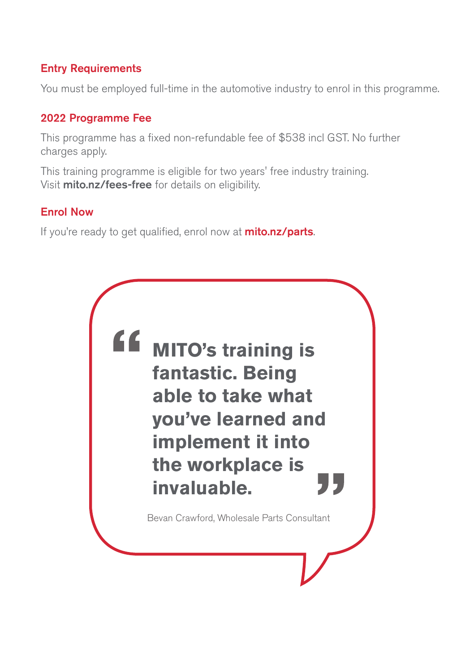# Entry Requirements

You must be employed full-time in the automotive industry to enrol in this programme.

## 2022 Programme Fee

This programme has a fixed non-refundable fee of \$538 incl GST. No further charges apply.

This training programme is eligible for two years' free industry training. Visit mito.nz/fees-free for details on eligibility.

### Enrol Now

If you're ready to get qualified, enrol now at **mito.nz/parts**.